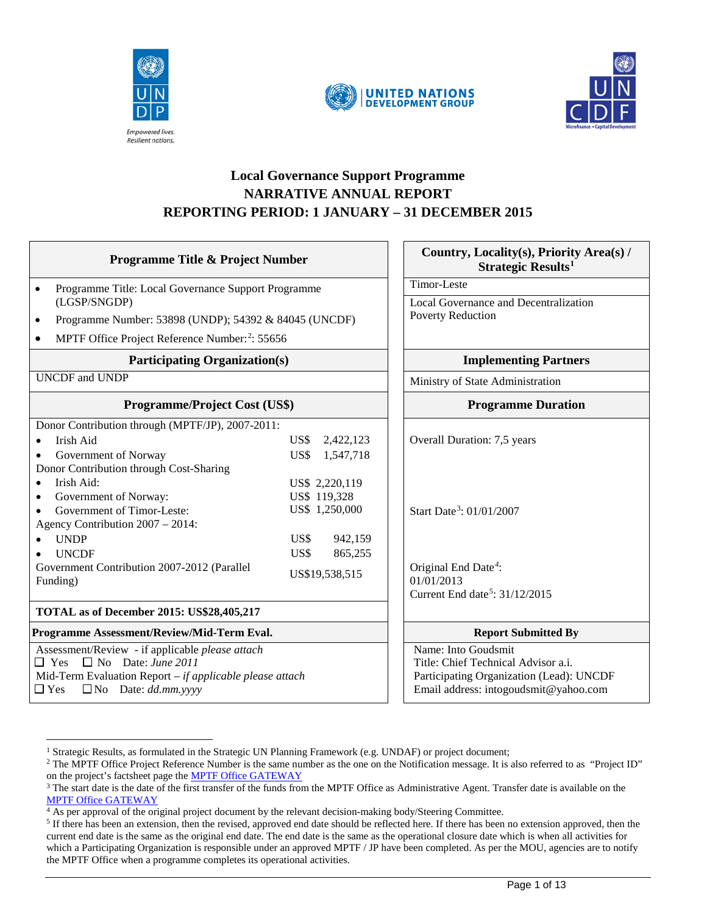





## **Local Governance Support Programme NARRATIVE ANNUAL REPORT REPORTING PERIOD: 1 JANUARY – 31 DECEMBER 2015**

| <b>Programme Title &amp; Project Number</b>                          |                   | Country, Locality(s), Priority Area(s) /<br>Strategic Results <sup>1</sup> |  |
|----------------------------------------------------------------------|-------------------|----------------------------------------------------------------------------|--|
| Programme Title: Local Governance Support Programme                  |                   | Timor-Leste                                                                |  |
| (LGSP/SNGDP)                                                         |                   | Local Governance and Decentralization                                      |  |
| Programme Number: 53898 (UNDP); 54392 & 84045 (UNCDF)<br>$\bullet$   |                   | <b>Poverty Reduction</b>                                                   |  |
| MPTF Office Project Reference Number: <sup>2</sup> : 55656           |                   |                                                                            |  |
| <b>Participating Organization(s)</b><br><b>UNCDF</b> and <b>UNDP</b> |                   | <b>Implementing Partners</b><br>Ministry of State Administration           |  |
|                                                                      |                   |                                                                            |  |
| Donor Contribution through (MPTF/JP), 2007-2011:                     |                   |                                                                            |  |
| Irish Aid                                                            | US\$<br>2,422,123 | Overall Duration: 7,5 years                                                |  |
| Government of Norway                                                 | US\$<br>1,547,718 |                                                                            |  |
| Donor Contribution through Cost-Sharing                              |                   |                                                                            |  |
| Irish Aid:<br>$\bullet$                                              | US\$ 2,220,119    |                                                                            |  |
| Government of Norway:                                                | US\$ 119,328      |                                                                            |  |
| US\$ 1,250,000<br>Government of Timor-Leste:                         |                   | Start Date <sup>3</sup> : 01/01/2007                                       |  |
| Agency Contribution 2007 - 2014:                                     |                   |                                                                            |  |
| <b>UNDP</b>                                                          | US\$<br>942,159   |                                                                            |  |
| <b>UNCDF</b>                                                         | US\$<br>865,255   |                                                                            |  |
| Government Contribution 2007-2012 (Parallel                          | US\$19,538,515    | Original End Date <sup>4</sup> :                                           |  |
| Funding)                                                             |                   | 01/01/2013                                                                 |  |
|                                                                      |                   | Current End date <sup>5</sup> : 31/12/2015                                 |  |
| TOTAL as of December 2015: US\$28,405,217                            |                   |                                                                            |  |
| Programme Assessment/Review/Mid-Term Eval.                           |                   | <b>Report Submitted By</b>                                                 |  |
| Assessment/Review - if applicable please attach                      |                   | Name: Into Goudsmit                                                        |  |
| $\Box$ Yes $\Box$ No Date: June 2011                                 |                   | Title: Chief Technical Advisor a.i.                                        |  |
| Mid-Term Evaluation Report - if applicable please attach             |                   | Participating Organization (Lead): UNCDF                                   |  |
| $\Box$ Yes<br>$\Box$ No Date: dd.mm.yyyy                             |                   | Email address: intogoudsmit@yahoo.com                                      |  |
|                                                                      |                   |                                                                            |  |

<sup>&</sup>lt;sup>1</sup> Strategic Results, as formulated in the Strategic UN Planning Framework (e.g. UNDAF) or project document;

<span id="page-0-1"></span><span id="page-0-0"></span><sup>&</sup>lt;sup>2</sup> The MPTF Office Project Reference Number is the same number as the one on the Notification message. It is also referred to as "Project ID" on the project's factsheet page the [MPTF Office GATEWAY](http://mdtf.undp.org/)

<span id="page-0-2"></span> $3$  The start date is the date of the first transfer of the funds from the MPTF Office as Administrative Agent. Transfer date is available on the [MPTF Office GATEWAY](http://mdtf.undp.org/)

<span id="page-0-3"></span><sup>4</sup> As per approval of the original project document by the relevant decision-making body/Steering Committee.

<span id="page-0-4"></span><sup>&</sup>lt;sup>5</sup> If there has been an extension, then the revised, approved end date should be reflected here. If there has been no extension approved, then the current end date is the same as the original end date. The end date is the same as the operational closure date which is when all activities for which a Participating Organization is responsible under an approved MPTF / JP have been completed. As per the MOU, agencies are to notify the MPTF Office when a programme completes its operational activities.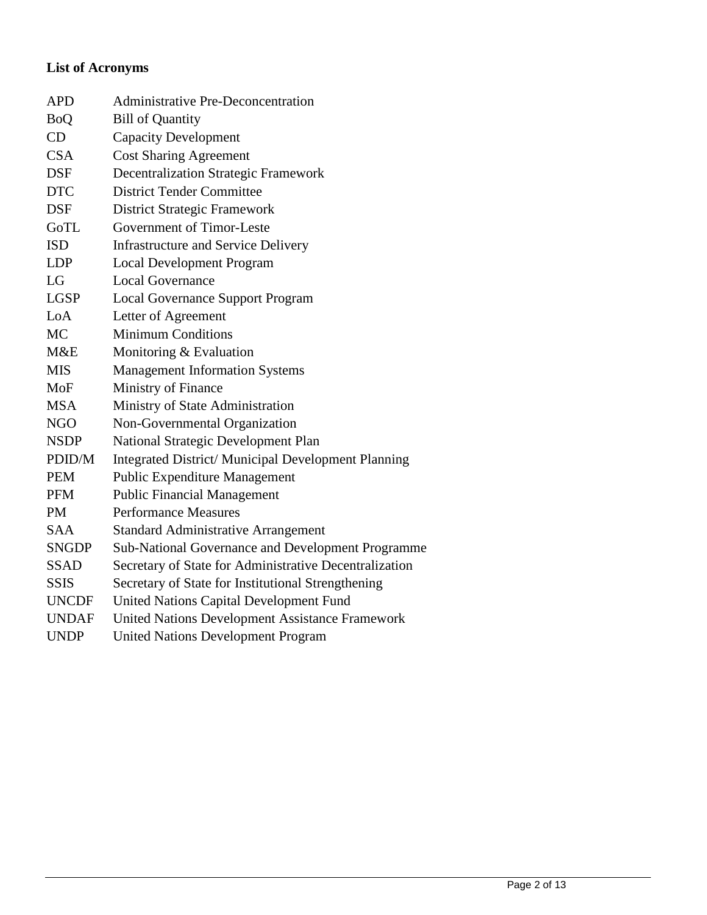# **List of Acronyms**

| <b>APD</b>   | <b>Administrative Pre-Deconcentration</b>                  |
|--------------|------------------------------------------------------------|
| <b>BoQ</b>   | <b>Bill of Quantity</b>                                    |
| CD           | <b>Capacity Development</b>                                |
| <b>CSA</b>   | <b>Cost Sharing Agreement</b>                              |
| <b>DSF</b>   | <b>Decentralization Strategic Framework</b>                |
| <b>DTC</b>   | <b>District Tender Committee</b>                           |
| <b>DSF</b>   | <b>District Strategic Framework</b>                        |
| GoTL         | Government of Timor-Leste                                  |
| <b>ISD</b>   | <b>Infrastructure and Service Delivery</b>                 |
| <b>LDP</b>   | <b>Local Development Program</b>                           |
| LG           | <b>Local Governance</b>                                    |
| <b>LGSP</b>  | <b>Local Governance Support Program</b>                    |
| LoA          | Letter of Agreement                                        |
| MC           | <b>Minimum Conditions</b>                                  |
| M&E          | Monitoring & Evaluation                                    |
| <b>MIS</b>   | <b>Management Information Systems</b>                      |
| MoF          | Ministry of Finance                                        |
| <b>MSA</b>   | Ministry of State Administration                           |
| NGO          | Non-Governmental Organization                              |
| <b>NSDP</b>  | National Strategic Development Plan                        |
| PDID/M       | <b>Integrated District/ Municipal Development Planning</b> |
| <b>PEM</b>   | <b>Public Expenditure Management</b>                       |
| <b>PFM</b>   | <b>Public Financial Management</b>                         |
| <b>PM</b>    | <b>Performance Measures</b>                                |
| <b>SAA</b>   | <b>Standard Administrative Arrangement</b>                 |
| <b>SNGDP</b> | Sub-National Governance and Development Programme          |
| <b>SSAD</b>  | Secretary of State for Administrative Decentralization     |
| <b>SSIS</b>  | Secretary of State for Institutional Strengthening         |
| <b>UNCDF</b> | <b>United Nations Capital Development Fund</b>             |
| <b>UNDAF</b> | <b>United Nations Development Assistance Framework</b>     |
| <b>UNDP</b>  | <b>United Nations Development Program</b>                  |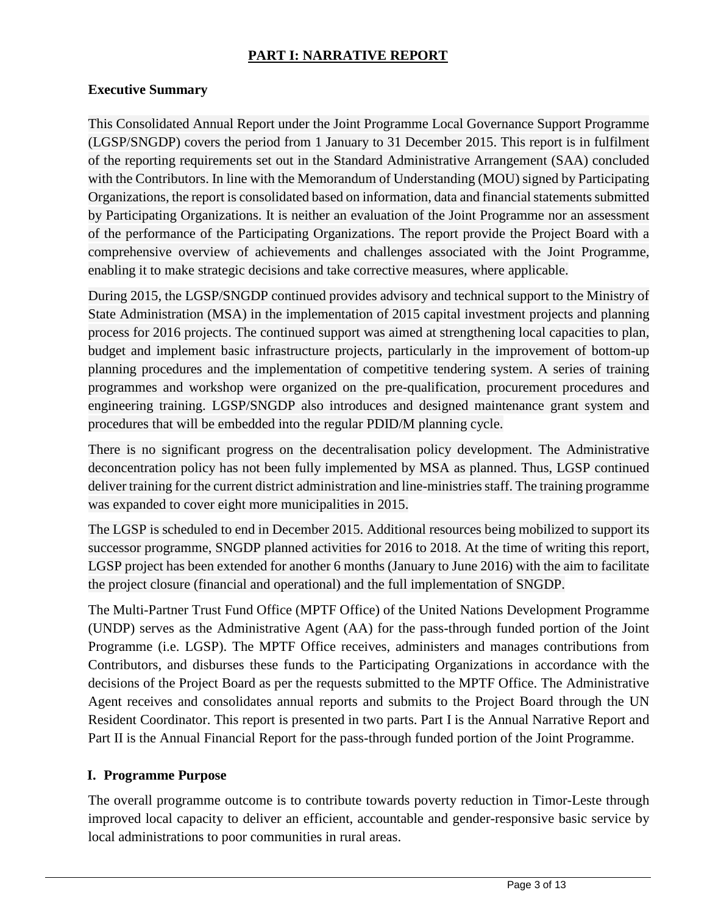## **PART I: NARRATIVE REPORT**

#### **Executive Summary**

This Consolidated Annual Report under the Joint Programme Local Governance Support Programme (LGSP/SNGDP) covers the period from 1 January to 31 December 2015. This report is in fulfilment of the reporting requirements set out in the Standard Administrative Arrangement (SAA) concluded with the Contributors. In line with the Memorandum of Understanding (MOU) signed by Participating Organizations, the report is consolidated based on information, data and financial statements submitted by Participating Organizations. It is neither an evaluation of the Joint Programme nor an assessment of the performance of the Participating Organizations. The report provide the Project Board with a comprehensive overview of achievements and challenges associated with the Joint Programme, enabling it to make strategic decisions and take corrective measures, where applicable.

During 2015, the LGSP/SNGDP continued provides advisory and technical support to the Ministry of State Administration (MSA) in the implementation of 2015 capital investment projects and planning process for 2016 projects. The continued support was aimed at strengthening local capacities to plan, budget and implement basic infrastructure projects, particularly in the improvement of bottom-up planning procedures and the implementation of competitive tendering system. A series of training programmes and workshop were organized on the pre-qualification, procurement procedures and engineering training. LGSP/SNGDP also introduces and designed maintenance grant system and procedures that will be embedded into the regular PDID/M planning cycle.

There is no significant progress on the decentralisation policy development. The Administrative deconcentration policy has not been fully implemented by MSA as planned. Thus, LGSP continued deliver training for the current district administration and line-ministries staff. The training programme was expanded to cover eight more municipalities in 2015.

The LGSP is scheduled to end in December 2015. Additional resources being mobilized to support its successor programme, SNGDP planned activities for 2016 to 2018. At the time of writing this report, LGSP project has been extended for another 6 months (January to June 2016) with the aim to facilitate the project closure (financial and operational) and the full implementation of SNGDP.

The Multi-Partner Trust Fund Office (MPTF Office) of the United Nations Development Programme (UNDP) serves as the Administrative Agent (AA) for the pass-through funded portion of the Joint Programme (i.e. LGSP). The MPTF Office receives, administers and manages contributions from Contributors, and disburses these funds to the Participating Organizations in accordance with the decisions of the Project Board as per the requests submitted to the MPTF Office. The Administrative Agent receives and consolidates annual reports and submits to the Project Board through the UN Resident Coordinator. This report is presented in two parts. Part I is the Annual Narrative Report and Part II is the Annual Financial Report for the pass-through funded portion of the Joint Programme.

### **I. Programme Purpose**

The overall programme outcome is to contribute towards poverty reduction in Timor-Leste through improved local capacity to deliver an efficient, accountable and gender-responsive basic service by local administrations to poor communities in rural areas.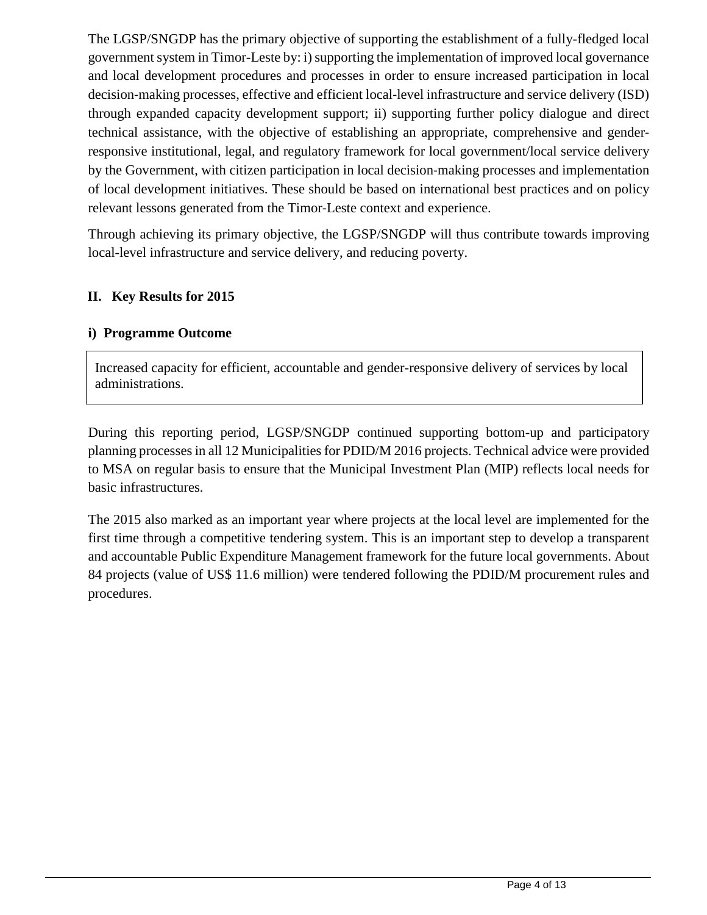The LGSP/SNGDP has the primary objective of supporting the establishment of a fully-fledged local government system in Timor-Leste by: i) supporting the implementation of improved local governance and local development procedures and processes in order to ensure increased participation in local decision‐making processes, effective and efficient local‐level infrastructure and service delivery (ISD) through expanded capacity development support; ii) supporting further policy dialogue and direct technical assistance, with the objective of establishing an appropriate, comprehensive and gender‐ responsive institutional, legal, and regulatory framework for local government/local service delivery by the Government, with citizen participation in local decision‐making processes and implementation of local development initiatives. These should be based on international best practices and on policy relevant lessons generated from the Timor‐Leste context and experience.

Through achieving its primary objective, the LGSP/SNGDP will thus contribute towards improving local-level infrastructure and service delivery, and reducing poverty.

### **II. Key Results for 2015**

#### **i) Programme Outcome**

Increased capacity for efficient, accountable and gender-responsive delivery of services by local administrations.

During this reporting period, LGSP/SNGDP continued supporting bottom-up and participatory planning processes in all 12 Municipalities for PDID/M 2016 projects. Technical advice were provided to MSA on regular basis to ensure that the Municipal Investment Plan (MIP) reflects local needs for basic infrastructures.

The 2015 also marked as an important year where projects at the local level are implemented for the first time through a competitive tendering system. This is an important step to develop a transparent and accountable Public Expenditure Management framework for the future local governments. About 84 projects (value of US\$ 11.6 million) were tendered following the PDID/M procurement rules and procedures.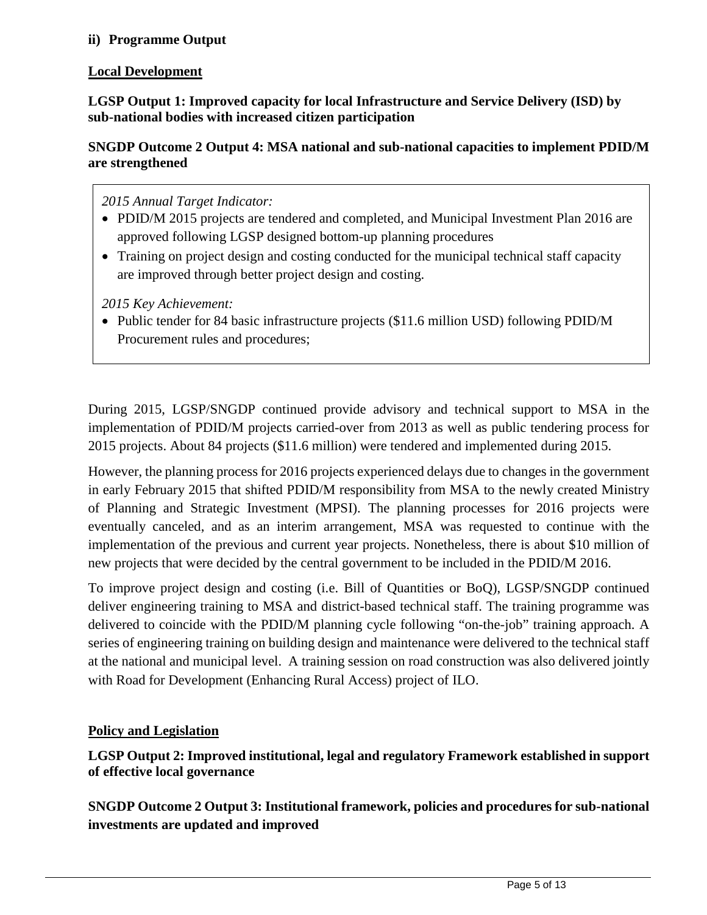### **ii) Programme Output**

### **Local Development**

**LGSP Output 1: Improved capacity for local Infrastructure and Service Delivery (ISD) by sub-national bodies with increased citizen participation**

**SNGDP Outcome 2 Output 4: MSA national and sub-national capacities to implement PDID/M are strengthened**

*2015 Annual Target Indicator:* 

- PDID/M 2015 projects are tendered and completed, and Municipal Investment Plan 2016 are approved following LGSP designed bottom-up planning procedures
- Training on project design and costing conducted for the municipal technical staff capacity are improved through better project design and costing.

*2015 Key Achievement:*

• Public tender for 84 basic infrastructure projects (\$11.6 million USD) following PDID/M Procurement rules and procedures;

During 2015, LGSP/SNGDP continued provide advisory and technical support to MSA in the implementation of PDID/M projects carried-over from 2013 as well as public tendering process for 2015 projects. About 84 projects (\$11.6 million) were tendered and implemented during 2015.

However, the planning process for 2016 projects experienced delays due to changes in the government in early February 2015 that shifted PDID/M responsibility from MSA to the newly created Ministry of Planning and Strategic Investment (MPSI). The planning processes for 2016 projects were eventually canceled, and as an interim arrangement, MSA was requested to continue with the implementation of the previous and current year projects. Nonetheless, there is about \$10 million of new projects that were decided by the central government to be included in the PDID/M 2016.

To improve project design and costing (i.e. Bill of Quantities or BoQ), LGSP/SNGDP continued deliver engineering training to MSA and district-based technical staff. The training programme was delivered to coincide with the PDID/M planning cycle following "on-the-job" training approach. A series of engineering training on building design and maintenance were delivered to the technical staff at the national and municipal level. A training session on road construction was also delivered jointly with Road for Development (Enhancing Rural Access) project of ILO.

### **Policy and Legislation**

**LGSP Output 2: Improved institutional, legal and regulatory Framework established in support of effective local governance**

**SNGDP Outcome 2 Output 3: Institutional framework, policies and procedures for sub-national investments are updated and improved**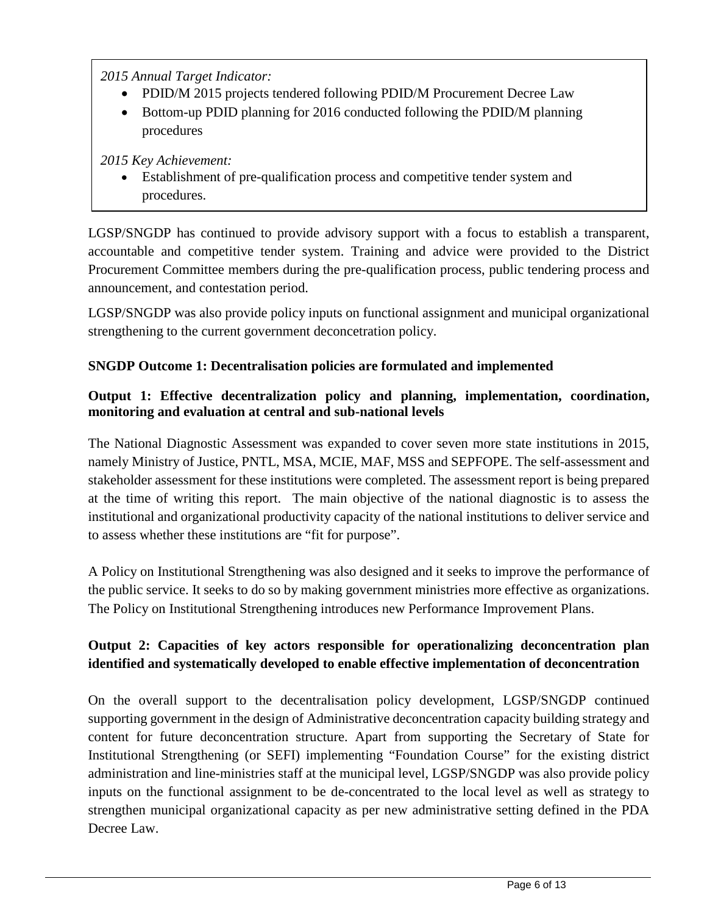*2015 Annual Target Indicator:* 

- PDID/M 2015 projects tendered following PDID/M Procurement Decree Law
- Bottom-up PDID planning for 2016 conducted following the PDID/M planning procedures

*2015 Key Achievement:*

• Establishment of pre-qualification process and competitive tender system and procedures.

LGSP/SNGDP has continued to provide advisory support with a focus to establish a transparent, accountable and competitive tender system. Training and advice were provided to the District Procurement Committee members during the pre-qualification process, public tendering process and announcement, and contestation period.

LGSP/SNGDP was also provide policy inputs on functional assignment and municipal organizational strengthening to the current government deconcetration policy.

# **SNGDP Outcome 1: Decentralisation policies are formulated and implemented**

## **Output 1: Effective decentralization policy and planning, implementation, coordination, monitoring and evaluation at central and sub-national levels**

The National Diagnostic Assessment was expanded to cover seven more state institutions in 2015, namely Ministry of Justice, PNTL, MSA, MCIE, MAF, MSS and SEPFOPE. The self-assessment and stakeholder assessment for these institutions were completed. The assessment report is being prepared at the time of writing this report. The main objective of the national diagnostic is to assess the institutional and organizational productivity capacity of the national institutions to deliver service and to assess whether these institutions are "fit for purpose".

A Policy on Institutional Strengthening was also designed and it seeks to improve the performance of the public service. It seeks to do so by making government ministries more effective as organizations. The Policy on Institutional Strengthening introduces new Performance Improvement Plans.

# **Output 2: Capacities of key actors responsible for operationalizing deconcentration plan identified and systematically developed to enable effective implementation of deconcentration**

On the overall support to the decentralisation policy development, LGSP/SNGDP continued supporting government in the design of Administrative deconcentration capacity building strategy and content for future deconcentration structure. Apart from supporting the Secretary of State for Institutional Strengthening (or SEFI) implementing "Foundation Course" for the existing district administration and line-ministries staff at the municipal level, LGSP/SNGDP was also provide policy inputs on the functional assignment to be de-concentrated to the local level as well as strategy to strengthen municipal organizational capacity as per new administrative setting defined in the PDA Decree Law.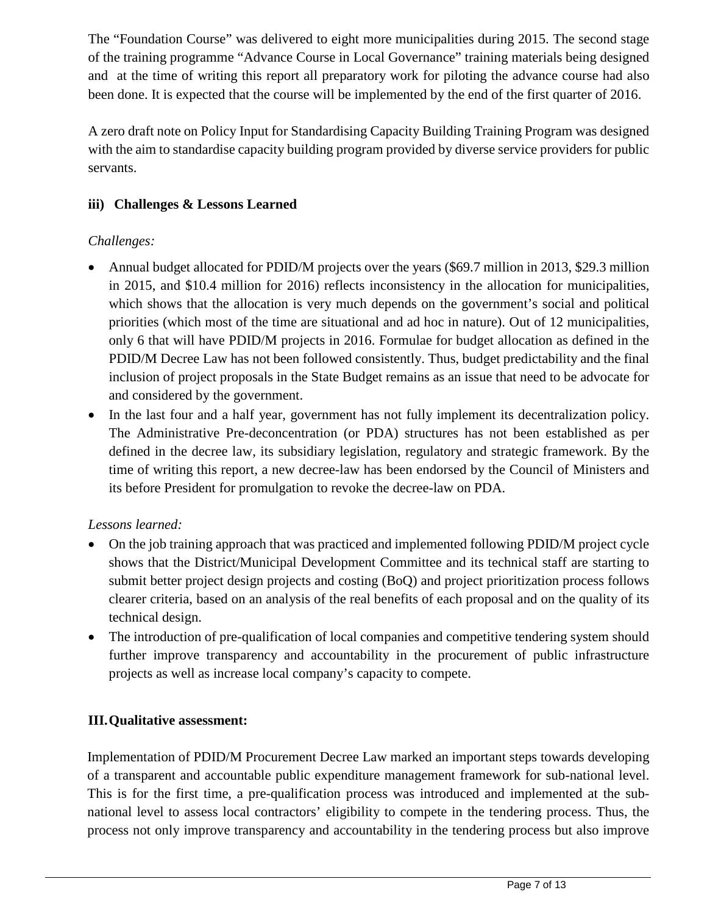The "Foundation Course" was delivered to eight more municipalities during 2015. The second stage of the training programme "Advance Course in Local Governance" training materials being designed and at the time of writing this report all preparatory work for piloting the advance course had also been done. It is expected that the course will be implemented by the end of the first quarter of 2016.

A zero draft note on Policy Input for Standardising Capacity Building Training Program was designed with the aim to standardise capacity building program provided by diverse service providers for public servants.

## **iii) Challenges & Lessons Learned**

## *Challenges:*

- Annual budget allocated for PDID/M projects over the years (\$69.7 million in 2013, \$29.3 million in 2015, and \$10.4 million for 2016) reflects inconsistency in the allocation for municipalities, which shows that the allocation is very much depends on the government's social and political priorities (which most of the time are situational and ad hoc in nature). Out of 12 municipalities, only 6 that will have PDID/M projects in 2016. Formulae for budget allocation as defined in the PDID/M Decree Law has not been followed consistently. Thus, budget predictability and the final inclusion of project proposals in the State Budget remains as an issue that need to be advocate for and considered by the government.
- In the last four and a half year, government has not fully implement its decentralization policy. The Administrative Pre-deconcentration (or PDA) structures has not been established as per defined in the decree law, its subsidiary legislation, regulatory and strategic framework. By the time of writing this report, a new decree-law has been endorsed by the Council of Ministers and its before President for promulgation to revoke the decree-law on PDA.

## *Lessons learned:*

- On the job training approach that was practiced and implemented following PDID/M project cycle shows that the District/Municipal Development Committee and its technical staff are starting to submit better project design projects and costing (BoQ) and project prioritization process follows clearer criteria, based on an analysis of the real benefits of each proposal and on the quality of its technical design.
- The introduction of pre-qualification of local companies and competitive tendering system should further improve transparency and accountability in the procurement of public infrastructure projects as well as increase local company's capacity to compete.

## **III.Qualitative assessment:**

Implementation of PDID/M Procurement Decree Law marked an important steps towards developing of a transparent and accountable public expenditure management framework for sub-national level. This is for the first time, a pre-qualification process was introduced and implemented at the subnational level to assess local contractors' eligibility to compete in the tendering process. Thus, the process not only improve transparency and accountability in the tendering process but also improve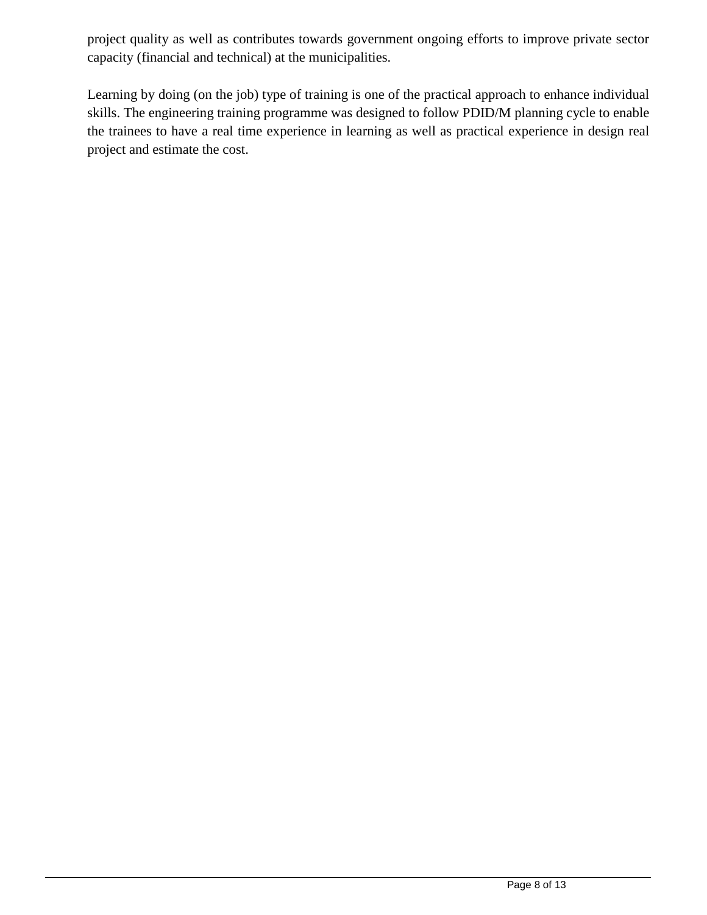project quality as well as contributes towards government ongoing efforts to improve private sector capacity (financial and technical) at the municipalities.

Learning by doing (on the job) type of training is one of the practical approach to enhance individual skills. The engineering training programme was designed to follow PDID/M planning cycle to enable the trainees to have a real time experience in learning as well as practical experience in design real project and estimate the cost.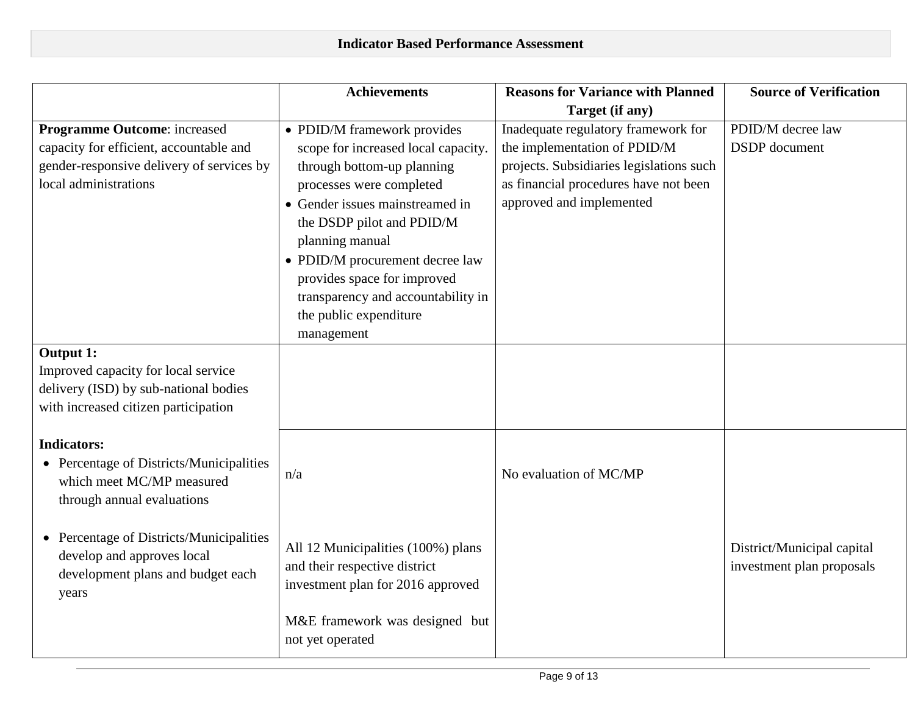|                                           | <b>Achievements</b>                 | <b>Reasons for Variance with Planned</b> | <b>Source of Verification</b> |
|-------------------------------------------|-------------------------------------|------------------------------------------|-------------------------------|
|                                           |                                     | Target (if any)                          |                               |
| <b>Programme Outcome:</b> increased       | • PDID/M framework provides         | Inadequate regulatory framework for      | PDID/M decree law             |
| capacity for efficient, accountable and   | scope for increased local capacity. | the implementation of PDID/M             | <b>DSDP</b> document          |
| gender-responsive delivery of services by | through bottom-up planning          | projects. Subsidiaries legislations such |                               |
| local administrations                     | processes were completed            | as financial procedures have not been    |                               |
|                                           | • Gender issues mainstreamed in     | approved and implemented                 |                               |
|                                           | the DSDP pilot and PDID/M           |                                          |                               |
|                                           | planning manual                     |                                          |                               |
|                                           | • PDID/M procurement decree law     |                                          |                               |
|                                           | provides space for improved         |                                          |                               |
|                                           | transparency and accountability in  |                                          |                               |
|                                           | the public expenditure              |                                          |                               |
|                                           | management                          |                                          |                               |
| Output 1:                                 |                                     |                                          |                               |
| Improved capacity for local service       |                                     |                                          |                               |
| delivery (ISD) by sub-national bodies     |                                     |                                          |                               |
| with increased citizen participation      |                                     |                                          |                               |
|                                           |                                     |                                          |                               |
| <b>Indicators:</b>                        |                                     |                                          |                               |
| • Percentage of Districts/Municipalities  |                                     | No evaluation of MC/MP                   |                               |
| which meet MC/MP measured                 | n/a                                 |                                          |                               |
| through annual evaluations                |                                     |                                          |                               |
|                                           |                                     |                                          |                               |
| • Percentage of Districts/Municipalities  | All 12 Municipalities (100%) plans  |                                          | District/Municipal capital    |
| develop and approves local                | and their respective district       |                                          | investment plan proposals     |
| development plans and budget each         | investment plan for 2016 approved   |                                          |                               |
| years                                     |                                     |                                          |                               |
|                                           | M&E framework was designed but      |                                          |                               |
|                                           | not yet operated                    |                                          |                               |
|                                           |                                     |                                          |                               |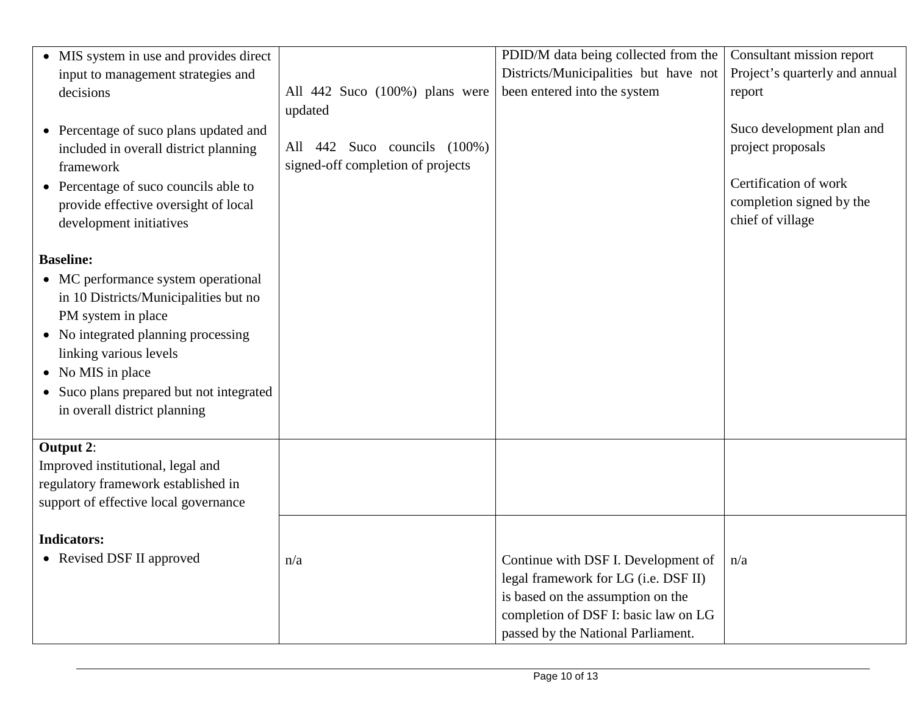| • MIS system in use and provides direct  |                                                                      | PDID/M data being collected from the  | Consultant mission report      |
|------------------------------------------|----------------------------------------------------------------------|---------------------------------------|--------------------------------|
| input to management strategies and       |                                                                      | Districts/Municipalities but have not | Project's quarterly and annual |
| decisions                                | All 442 Suco (100%) plans were                                       | been entered into the system          | report                         |
|                                          | updated                                                              |                                       |                                |
| • Percentage of suco plans updated and   |                                                                      |                                       | Suco development plan and      |
| included in overall district planning    | 442 Suco councils (100%)<br>All<br>signed-off completion of projects |                                       | project proposals              |
| framework                                |                                                                      |                                       | Certification of work          |
| • Percentage of suco councils able to    |                                                                      |                                       | completion signed by the       |
| provide effective oversight of local     |                                                                      |                                       | chief of village               |
| development initiatives                  |                                                                      |                                       |                                |
| <b>Baseline:</b>                         |                                                                      |                                       |                                |
| • MC performance system operational      |                                                                      |                                       |                                |
| in 10 Districts/Municipalities but no    |                                                                      |                                       |                                |
| PM system in place                       |                                                                      |                                       |                                |
| • No integrated planning processing      |                                                                      |                                       |                                |
| linking various levels                   |                                                                      |                                       |                                |
| • No MIS in place                        |                                                                      |                                       |                                |
|                                          |                                                                      |                                       |                                |
| • Suco plans prepared but not integrated |                                                                      |                                       |                                |
| in overall district planning             |                                                                      |                                       |                                |
| Output 2:                                |                                                                      |                                       |                                |
| Improved institutional, legal and        |                                                                      |                                       |                                |
| regulatory framework established in      |                                                                      |                                       |                                |
| support of effective local governance    |                                                                      |                                       |                                |
|                                          |                                                                      |                                       |                                |
| <b>Indicators:</b>                       |                                                                      |                                       |                                |
| • Revised DSF II approved                | n/a                                                                  | Continue with DSF I. Development of   | n/a                            |
|                                          |                                                                      | legal framework for LG (i.e. DSF II)  |                                |
|                                          |                                                                      | is based on the assumption on the     |                                |
|                                          |                                                                      | completion of DSF I: basic law on LG  |                                |
|                                          |                                                                      | passed by the National Parliament.    |                                |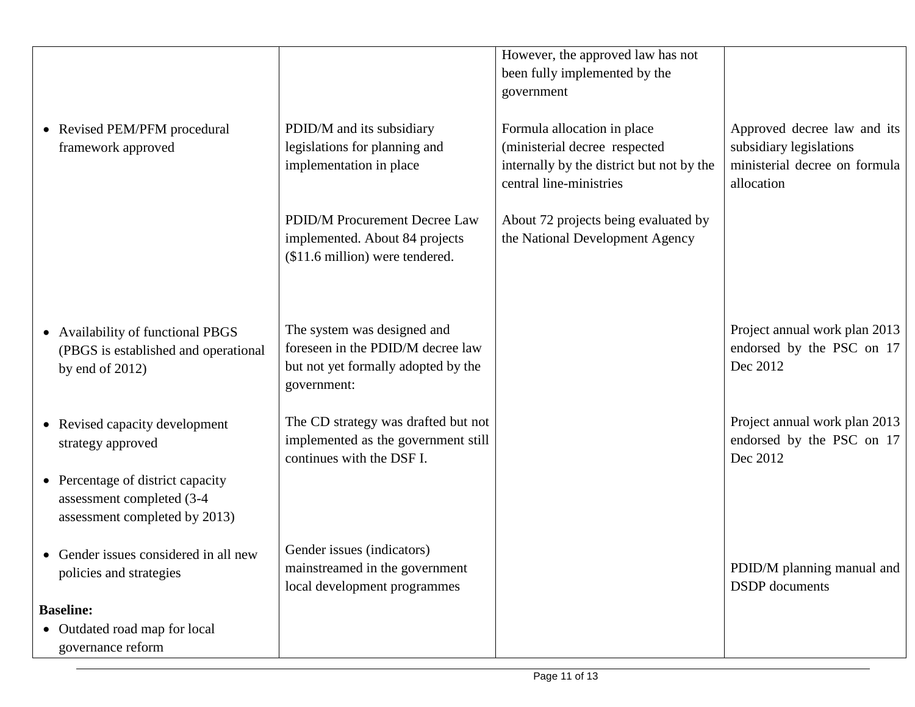|                  |                                       |                                     | However, the approved law has not         |                               |
|------------------|---------------------------------------|-------------------------------------|-------------------------------------------|-------------------------------|
|                  |                                       |                                     | been fully implemented by the             |                               |
|                  |                                       |                                     | government                                |                               |
|                  |                                       |                                     |                                           |                               |
|                  | • Revised PEM/PFM procedural          | PDID/M and its subsidiary           | Formula allocation in place               | Approved decree law and its   |
|                  | framework approved                    | legislations for planning and       | (ministerial decree respected             | subsidiary legislations       |
|                  |                                       | implementation in place             | internally by the district but not by the | ministerial decree on formula |
|                  |                                       |                                     |                                           |                               |
|                  |                                       |                                     | central line-ministries                   | allocation                    |
|                  |                                       | PDID/M Procurement Decree Law       | About 72 projects being evaluated by      |                               |
|                  |                                       | implemented. About 84 projects      | the National Development Agency           |                               |
|                  |                                       | (\$11.6 million) were tendered.     |                                           |                               |
|                  |                                       |                                     |                                           |                               |
|                  |                                       |                                     |                                           |                               |
|                  |                                       |                                     |                                           |                               |
|                  | • Availability of functional PBGS     | The system was designed and         |                                           | Project annual work plan 2013 |
|                  | (PBGS is established and operational  | foreseen in the PDID/M decree law   |                                           | endorsed by the PSC on 17     |
|                  |                                       | but not yet formally adopted by the |                                           | Dec 2012                      |
|                  | by end of $2012$ )                    | government:                         |                                           |                               |
|                  |                                       |                                     |                                           |                               |
|                  | • Revised capacity development        | The CD strategy was drafted but not |                                           | Project annual work plan 2013 |
|                  |                                       | implemented as the government still |                                           | endorsed by the PSC on 17     |
|                  | strategy approved                     | continues with the DSF I.           |                                           | Dec 2012                      |
|                  |                                       |                                     |                                           |                               |
|                  | • Percentage of district capacity     |                                     |                                           |                               |
|                  | assessment completed (3-4             |                                     |                                           |                               |
|                  | assessment completed by 2013)         |                                     |                                           |                               |
|                  | • Gender issues considered in all new | Gender issues (indicators)          |                                           |                               |
|                  |                                       | mainstreamed in the government      |                                           | PDID/M planning manual and    |
|                  | policies and strategies               | local development programmes        |                                           | <b>DSDP</b> documents         |
|                  |                                       |                                     |                                           |                               |
| <b>Baseline:</b> |                                       |                                     |                                           |                               |
|                  | • Outdated road map for local         |                                     |                                           |                               |
|                  | governance reform                     |                                     |                                           |                               |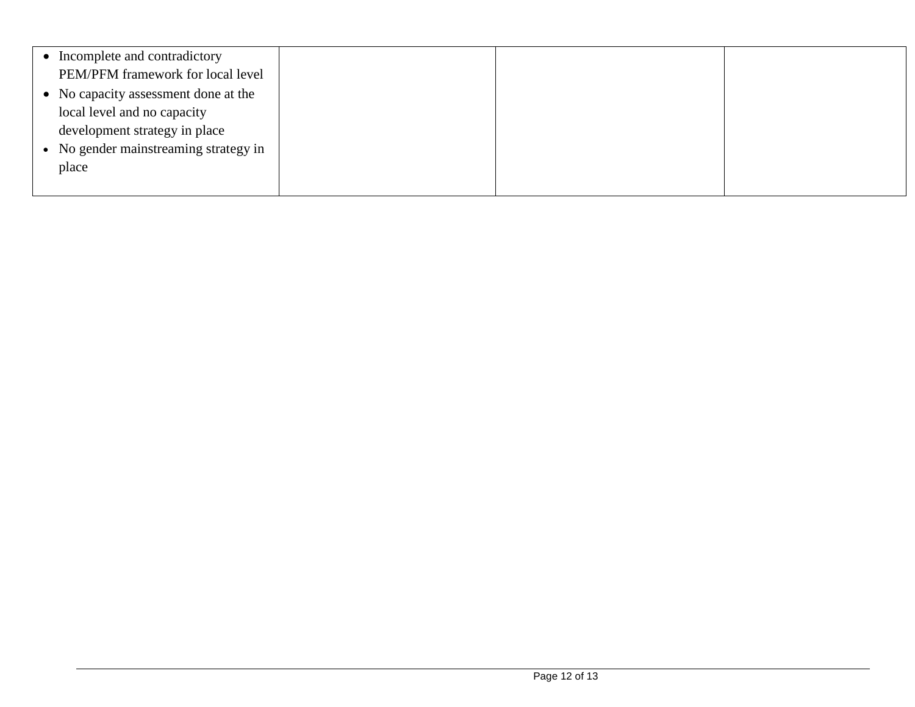| Incomplete and contradictory          |  |  |
|---------------------------------------|--|--|
| PEM/PFM framework for local level     |  |  |
| • No capacity assessment done at the  |  |  |
| local level and no capacity           |  |  |
| development strategy in place         |  |  |
| • No gender mainstreaming strategy in |  |  |
| place                                 |  |  |
|                                       |  |  |